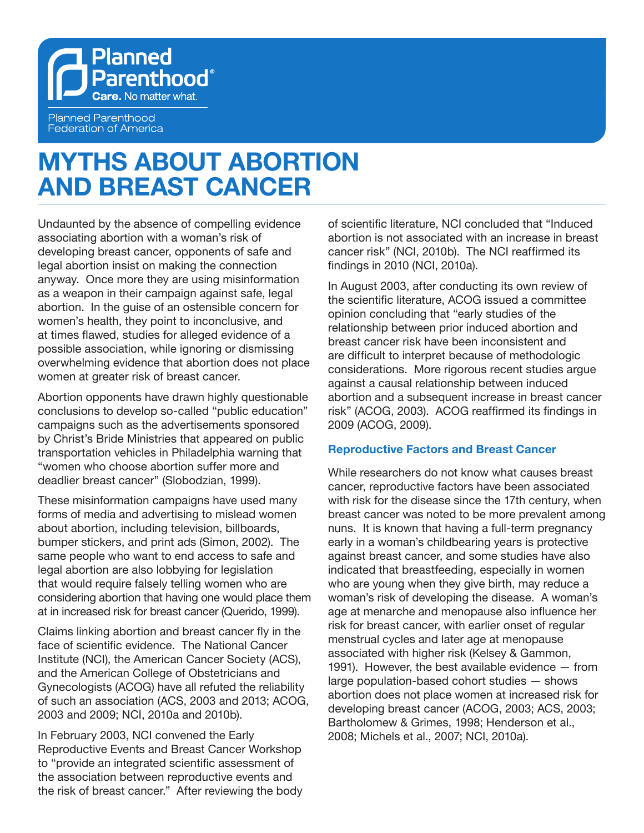

**Planned Parenthood Federation of America** 

# **MYTHS ABOUT ABORTION AND BREAST CANCER**

Undaunted by the absence of compelling evidence associating abortion with a woman's risk of developing breast cancer, opponents of safe and legal abortion insist on making the connection anyway. Once more they are using misinformation as a weapon in their campaign against safe, legal abortion. In the guise of an ostensible concern for women's health, they point to inconclusive, and at times flawed, studies for alleged evidence of a possible association, while ignoring or dismissing overwhelming evidence that abortion does not place women at greater risk of breast cancer.

Abortion opponents have drawn highly questionable conclusions to develop so-called "public education" campaigns such as the advertisements sponsored by Christ's Bride Ministries that appeared on public transportation vehicles in Philadelphia warning that "women who choose abortion suffer more and deadlier breast cancer" (Slobodzian, 1999).

These misinformation campaigns have used many forms of media and advertising to mislead women about abortion, including television, billboards, bumper stickers, and print ads (Simon, 2002). The same people who want to end access to safe and legal abortion are also lobbying for legislation that would require falsely telling women who are considering abortion that having one would place them at in increased risk for breast cancer (Querido, 1999).

Claims linking abortion and breast cancer fly in the face of scientific evidence. The National Cancer Institute (NCI), the American Cancer Society (ACS), and the American College of Obstetricians and Gynecologists (ACOG) have all refuted the reliability of such an association (ACS, 2003 and 2013; ACOG, 2003 and 2009; NCI, 2010a and 2010b).

In February 2003, NCI convened the Early Reproductive Events and Breast Cancer Workshop to "provide an integrated scientific assessment of the association between reproductive events and the risk of breast cancer." After reviewing the body of scientific literature, NCI concluded that "Induced abortion is not associated with an increase in breast cancer risk" (NCI, 2010b). The NCI reaffirmed its findings in 2010 (NCI, 2010a).

In August 2003, after conducting its own review of the scientific literature, ACOG issued a committee opinion concluding that "early studies of the relationship between prior induced abortion and breast cancer risk have been inconsistent and are difficult to interpret because of methodologic considerations. More rigorous recent studies argue against a causal relationship between induced abortion and a subsequent increase in breast cancer risk" (ACOG, 2003). ACOG reaffirmed its findings in 2009 (ACOG, 2009).

# **Reproductive Factors and Breast Cancer**

While researchers do not know what causes breast cancer, reproductive factors have been associated with risk for the disease since the 17th century, when breast cancer was noted to be more prevalent among nuns. It is known that having a full-term pregnancy early in a woman's childbearing years is protective against breast cancer, and some studies have also indicated that breastfeeding, especially in women who are young when they give birth, may reduce a woman's risk of developing the disease. A woman's age at menarche and menopause also influence her risk for breast cancer, with earlier onset of regular menstrual cycles and later age at menopause associated with higher risk (Kelsey & Gammon, 1991). However, the best available evidence — from large population-based cohort studies — shows abortion does not place women at increased risk for developing breast cancer (ACOG, 2003; ACS, 2003; Bartholomew & Grimes, 1998; Henderson et al., 2008; Michels et al., 2007; NCI, 2010a).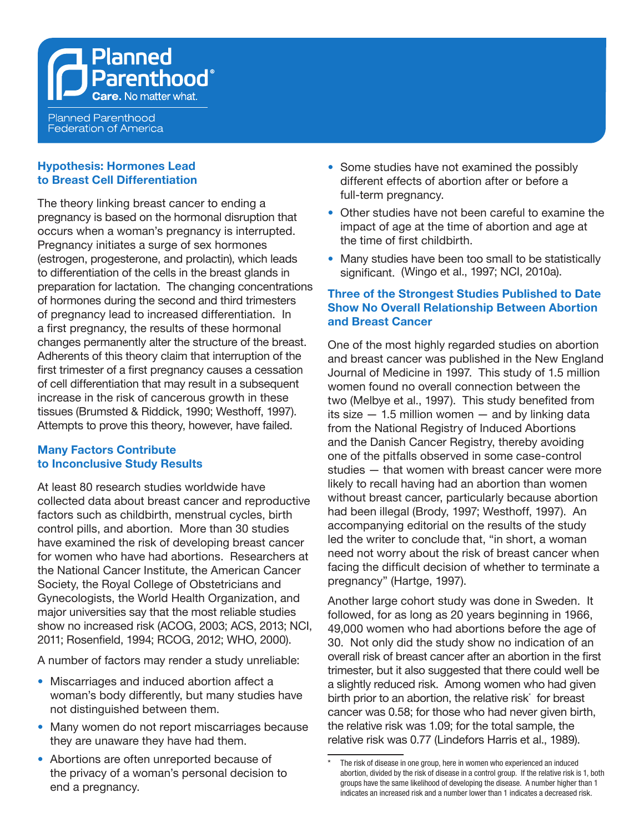**Planned Parenthood Federation of America** 

Planned

**Parenthood**®

### **Hypothesis: Hormones Lead to Breast Cell Differentiation**

The theory linking breast cancer to ending a pregnancy is based on the hormonal disruption that occurs when a woman's pregnancy is interrupted. Pregnancy initiates a surge of sex hormones (estrogen, progesterone, and prolactin), which leads to differentiation of the cells in the breast glands in preparation for lactation. The changing concentrations of hormones during the second and third trimesters of pregnancy lead to increased differentiation. In a first pregnancy, the results of these hormonal changes permanently alter the structure of the breast. Adherents of this theory claim that interruption of the first trimester of a first pregnancy causes a cessation of cell differentiation that may result in a subsequent increase in the risk of cancerous growth in these tissues (Brumsted & Riddick, 1990; Westhoff, 1997). Attempts to prove this theory, however, have failed.

# **Many Factors Contribute to Inconclusive Study Results**

At least 80 research studies worldwide have collected data about breast cancer and reproductive factors such as childbirth, menstrual cycles, birth control pills, and abortion. More than 30 studies have examined the risk of developing breast cancer for women who have had abortions. Researchers at the National Cancer Institute, the American Cancer Society, the Royal College of Obstetricians and Gynecologists, the World Health Organization, and major universities say that the most reliable studies show no increased risk (ACOG, 2003; ACS, 2013; NCI, 2011; Rosenfield, 1994; RCOG, 2012; WHO, 2000).

A number of factors may render a study unreliable:

- Miscarriages and induced abortion affect a woman's body differently, but many studies have not distinguished between them.
- Many women do not report miscarriages because they are unaware they have had them.
- **•**  Abortions are often unreported because of the privacy of a woman's personal decision to end a pregnancy.
- Some studies have not examined the possibly different effects of abortion after or before a full-term pregnancy.
- **•**  Other studies have not been careful to examine the impact of age at the time of abortion and age at the time of first childbirth.
- Many studies have been too small to be statistically significant. (Wingo et al., 1997; NCI, 2010a).

# **Three of the Strongest Studies Published to Date Show No Overall Relationship Between Abortion and Breast Cancer**

One of the most highly regarded studies on abortion and breast cancer was published in the New England Journal of Medicine in 1997. This study of 1.5 million women found no overall connection between the two (Melbye et al., 1997). This study benefited from its size  $-1.5$  million women  $-$  and by linking data from the National Registry of Induced Abortions and the Danish Cancer Registry, thereby avoiding one of the pitfalls observed in some case-control studies — that women with breast cancer were more likely to recall having had an abortion than women without breast cancer, particularly because abortion had been illegal (Brody, 1997; Westhoff, 1997). An accompanying editorial on the results of the study led the writer to conclude that, "in short, a woman need not worry about the risk of breast cancer when facing the difficult decision of whether to terminate a pregnancy" (Hartge, 1997).

Another large cohort study was done in Sweden. It followed, for as long as 20 years beginning in 1966, 49,000 women who had abortions before the age of 30. Not only did the study show no indication of an overall risk of breast cancer after an abortion in the first trimester, but it also suggested that there could well be a slightly reduced risk. Among women who had given birth prior to an abortion, the relative risk\* for breast cancer was 0.58; for those who had never given birth, the relative risk was 1.09; for the total sample, the relative risk was 0.77 (Lindefors Harris et al., 1989).

The risk of disease in one group, here in women who experienced an induced abortion, divided by the risk of disease in a control group. If the relative risk is 1, both groups have the same likelihood of developing the disease. A number higher than 1 indicates an increased risk and a number lower than 1 indicates a decreased risk.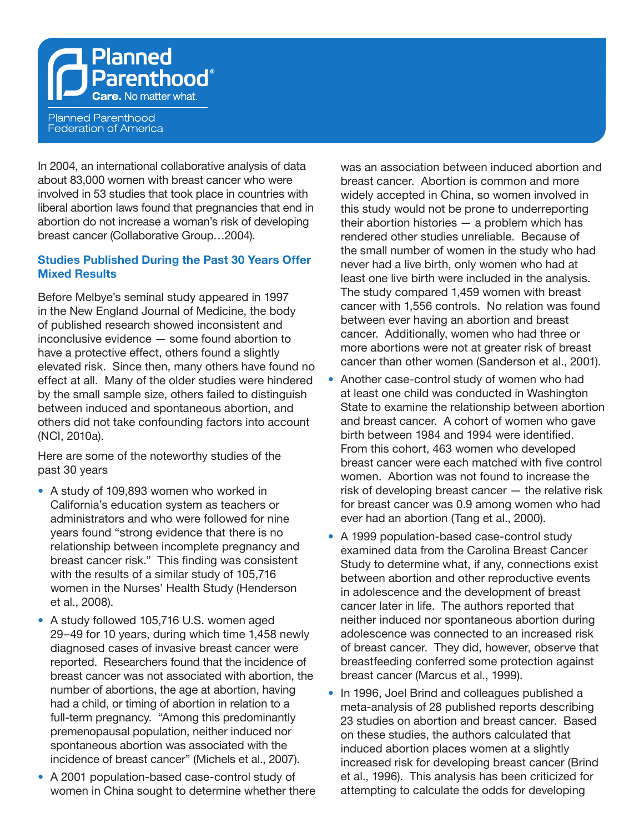Planned Parenthood® **Care.** No matter what.

**Planned Parenthood** Federation of America

In 2004, an international collaborative analysis of data about 83,000 women with breast cancer who were involved in 53 studies that took place in countries with liberal abortion laws found that pregnancies that end in abortion do not increase a woman's risk of developing breast cancer (Collaborative Group…2004).

# **Studies Published During the Past 30 Years Offer Mixed Results**

Before Melbye's seminal study appeared in 1997 in the New England Journal of Medicine, the body of published research showed inconsistent and inconclusive evidence — some found abortion to have a protective effect, others found a slightly elevated risk. Since then, many others have found no effect at all. Many of the older studies were hindered by the small sample size, others failed to distinguish between induced and spontaneous abortion, and others did not take confounding factors into account (NCI, 2010a).

Here are some of the noteworthy studies of the past 30 years

- **•**  A study of 109,893 women who worked in California's education system as teachers or administrators and who were followed for nine years found "strong evidence that there is no relationship between incomplete pregnancy and breast cancer risk." This finding was consistent with the results of a similar study of 105,716 women in the Nurses' Health Study (Henderson et al., 2008).
- **•**  A study followed 105,716 U.S. women aged 29–49 for 10 years, during which time 1,458 newly diagnosed cases of invasive breast cancer were reported. Researchers found that the incidence of breast cancer was not associated with abortion, the number of abortions, the age at abortion, having had a child, or timing of abortion in relation to a full-term pregnancy. "Among this predominantly premenopausal population, neither induced nor spontaneous abortion was associated with the incidence of breast cancer" (Michels et al., 2007).
- **•**  A 2001 population-based case-control study of women in China sought to determine whether there

was an association between induced abortion and breast cancer. Abortion is common and more widely accepted in China, so women involved in this study would not be prone to underreporting their abortion histories — a problem which has rendered other studies unreliable. Because of the small number of women in the study who had never had a live birth, only women who had at least one live birth were included in the analysis. The study compared 1,459 women with breast cancer with 1,556 controls. No relation was found between ever having an abortion and breast cancer. Additionally, women who had three or more abortions were not at greater risk of breast cancer than other women (Sanderson et al., 2001).

- Another case-control study of women who had at least one child was conducted in Washington State to examine the relationship between abortion and breast cancer. A cohort of women who gave birth between 1984 and 1994 were identified. From this cohort, 463 women who developed breast cancer were each matched with five control women. Abortion was not found to increase the risk of developing breast cancer — the relative risk for breast cancer was 0.9 among women who had ever had an abortion (Tang et al., 2000).
- **•**  A 1999 population-based case-control study examined data from the Carolina Breast Cancer Study to determine what, if any, connections exist between abortion and other reproductive events in adolescence and the development of breast cancer later in life. The authors reported that neither induced nor spontaneous abortion during adolescence was connected to an increased risk of breast cancer. They did, however, observe that breastfeeding conferred some protection against breast cancer (Marcus et al., 1999).
- In 1996, Joel Brind and colleagues published a meta-analysis of 28 published reports describing 23 studies on abortion and breast cancer. Based on these studies, the authors calculated that induced abortion places women at a slightly increased risk for developing breast cancer (Brind et al., 1996). This analysis has been criticized for attempting to calculate the odds for developing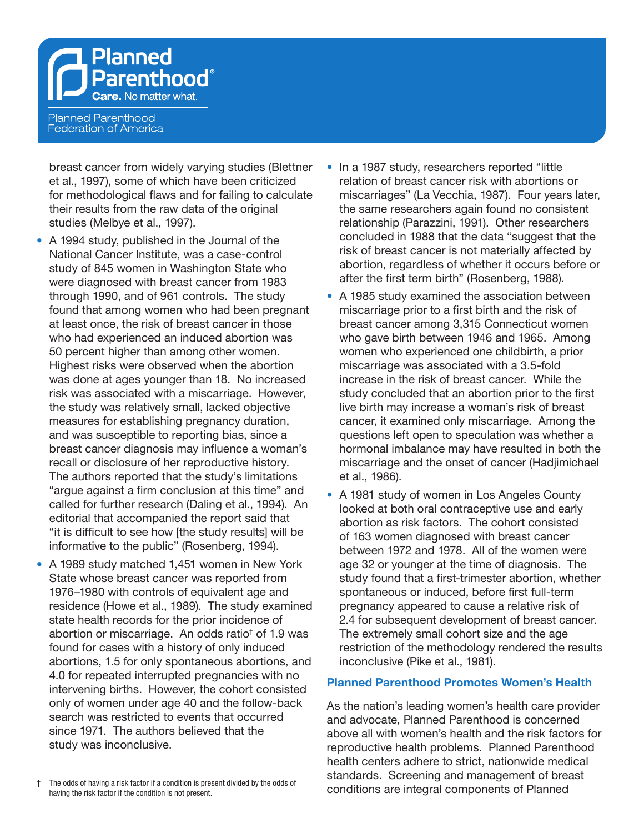Planned T Parenthood® **Care.** No matter what.

**Planned Parenthood Federation of America** 

breast cancer from widely varying studies (Blettner et al., 1997), some of which have been criticized for methodological flaws and for failing to calculate their results from the raw data of the original studies (Melbye et al., 1997).

- A 1994 study, published in the Journal of the National Cancer Institute, was a case-control study of 845 women in Washington State who were diagnosed with breast cancer from 1983 through 1990, and of 961 controls. The study found that among women who had been pregnant at least once, the risk of breast cancer in those who had experienced an induced abortion was 50 percent higher than among other women. Highest risks were observed when the abortion was done at ages younger than 18. No increased risk was associated with a miscarriage. However, the study was relatively small, lacked objective measures for establishing pregnancy duration, and was susceptible to reporting bias, since a breast cancer diagnosis may influence a woman's recall or disclosure of her reproductive history. The authors reported that the study's limitations "argue against a firm conclusion at this time" and called for further research (Daling et al., 1994). An editorial that accompanied the report said that "it is difficult to see how [the study results] will be informative to the public" (Rosenberg, 1994).
- **•**  A 1989 study matched 1,451 women in New York State whose breast cancer was reported from 1976–1980 with controls of equivalent age and residence (Howe et al., 1989). The study examined state health records for the prior incidence of abortion or miscarriage. An odds ratio<sup>†</sup> of 1.9 was found for cases with a history of only induced abortions, 1.5 for only spontaneous abortions, and 4.0 for repeated interrupted pregnancies with no intervening births. However, the cohort consisted only of women under age 40 and the follow-back search was restricted to events that occurred since 1971. The authors believed that the study was inconclusive.
- The odds of having a risk factor if a condition is present divided by the odds of having the risk factor if the condition is not present.
- In a 1987 study, researchers reported "little relation of breast cancer risk with abortions or miscarriages" (La Vecchia, 1987). Four years later, the same researchers again found no consistent relationship (Parazzini, 1991). Other researchers concluded in 1988 that the data "suggest that the risk of breast cancer is not materially affected by abortion, regardless of whether it occurs before or after the first term birth" (Rosenberg, 1988).
- **•**  A 1985 study examined the association between miscarriage prior to a first birth and the risk of breast cancer among 3,315 Connecticut women who gave birth between 1946 and 1965. Among women who experienced one childbirth, a prior miscarriage was associated with a 3.5-fold increase in the risk of breast cancer. While the study concluded that an abortion prior to the first live birth may increase a woman's risk of breast cancer, it examined only miscarriage. Among the questions left open to speculation was whether a hormonal imbalance may have resulted in both the miscarriage and the onset of cancer (Hadjimichael et al., 1986).
- **•**  A 1981 study of women in Los Angeles County looked at both oral contraceptive use and early abortion as risk factors. The cohort consisted of 163 women diagnosed with breast cancer between 1972 and 1978. All of the women were age 32 or younger at the time of diagnosis. The study found that a first-trimester abortion, whether spontaneous or induced, before first full-term pregnancy appeared to cause a relative risk of 2.4 for subsequent development of breast cancer. The extremely small cohort size and the age restriction of the methodology rendered the results inconclusive (Pike et al., 1981).

#### **Planned Parenthood Promotes Women's Health**

As the nation's leading women's health care provider and advocate, Planned Parenthood is concerned above all with women's health and the risk factors for reproductive health problems. Planned Parenthood health centers adhere to strict, nationwide medical standards. Screening and management of breast conditions are integral components of Planned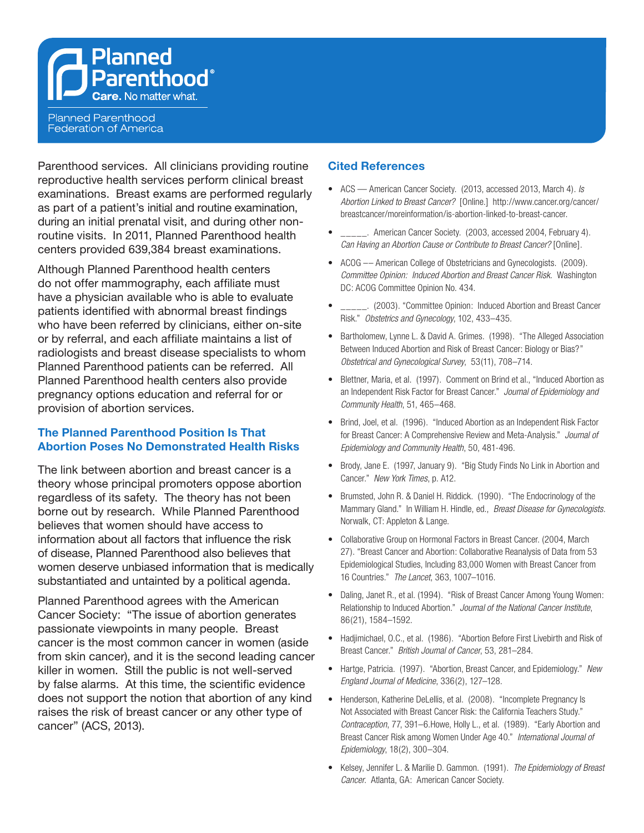**Planned Parenthood**® **Care.** No matter what.

**Planned Parenthood Federation of America** 

Parenthood services. All clinicians providing routine reproductive health services perform clinical breast examinations. Breast exams are performed regularly as part of a patient's initial and routine examination, during an initial prenatal visit, and during other nonroutine visits. In 2011, Planned Parenthood health centers provided 639,384 breast examinations.

Although Planned Parenthood health centers do not offer mammography, each affiliate must have a physician available who is able to evaluate patients identified with abnormal breast findings who have been referred by clinicians, either on-site or by referral, and each affiliate maintains a list of radiologists and breast disease specialists to whom Planned Parenthood patients can be referred. All Planned Parenthood health centers also provide pregnancy options education and referral for or provision of abortion services.

# **The Planned Parenthood Position Is That Abortion Poses No Demonstrated Health Risks**

The link between abortion and breast cancer is a theory whose principal promoters oppose abortion regardless of its safety. The theory has not been borne out by research. While Planned Parenthood believes that women should have access to information about all factors that influence the risk of disease, Planned Parenthood also believes that women deserve unbiased information that is medically substantiated and untainted by a political agenda.

Planned Parenthood agrees with the American Cancer Society: "The issue of abortion generates passionate viewpoints in many people. Breast cancer is the most common cancer in women (aside from skin cancer), and it is the second leading cancer killer in women. Still the public is not well-served by false alarms. At this time, the scientific evidence does not support the notion that abortion of any kind raises the risk of breast cancer or any other type of cancer" (ACS, 2013).

### **Cited References**

- • ACS American Cancer Society. (2013, accessed 2013, March 4). *Is Abortion Linked to Breast Cancer?* [Online.] http://www.cancer.org/cancer/ breastcancer/moreinformation/is-abortion-linked-to-breast-cancer.
- \_\_\_\_\_. American Cancer Society. (2003, accessed 2004, February 4). *Can Having an Abortion Cause or Contribute to Breast Cancer?* [Online].
- ACOG -- American College of Obstetricians and Gynecologists. (2009). *Committee Opinion: Induced Abortion and Breast Cancer Risk.* Washington DC: ACOG Committee Opinion No. 434.
- \_\_\_\_\_. (2003). "Committee Opinion: Induced Abortion and Breast Cancer Risk." *Obstetrics and Gynecology*, 102, 433–435.
- Bartholomew, Lynne L. & David A. Grimes. (1998). "The Alleged Association Between Induced Abortion and Risk of Breast Cancer: Biology or Bias?" *Obstetrical and Gynecological Survey*, 53(11), 708–714.
- Blettner, Maria, et al. (1997). Comment on Brind et al., "Induced Abortion as an Independent Risk Factor for Breast Cancer." *Journal of Epidemiology and Community Health*, 51, 465–468.
- Brind, Joel, et al. (1996). "Induced Abortion as an Independent Risk Factor for Breast Cancer: A Comprehensive Review and Meta-Analysis." *Journal of Epidemiology and Community Health*, 50, 481-496.
- Brody, Jane E. (1997, January 9). "Big Study Finds No Link in Abortion and Cancer." *New York Times*, p. A12.
- Brumsted, John R. & Daniel H. Riddick. (1990). "The Endocrinology of the Mammary Gland." In William H. Hindle, ed., *Breast Disease for Gynecologists*. Norwalk, CT: Appleton & Lange.
- Collaborative Group on Hormonal Factors in Breast Cancer. (2004, March 27). "Breast Cancer and Abortion: Collaborative Reanalysis of Data from 53 Epidemiological Studies, Including 83,000 Women with Breast Cancer from 16 Countries." *The Lancet*, 363, 1007–1016.
- Daling, Janet R., et al. (1994). "Risk of Breast Cancer Among Young Women: Relationship to Induced Abortion." *Journal of the National Cancer Institute*, 86(21), 1584–1592.
- Hadjimichael, O.C., et al. (1986). "Abortion Before First Livebirth and Risk of Breast Cancer." *British Journal of Cancer*, 53, 281–284.
- • Hartge, Patricia. (1997). "Abortion, Breast Cancer, and Epidemiology." *New England Journal of Medicine*, 336(2), 127–128.
- Henderson, Katherine DeLellis, et al. (2008). "Incomplete Pregnancy Is Not Associated with Breast Cancer Risk: the California Teachers Study." *Contraception*, 77, 391–6.Howe, Holly L., et al. (1989). "Early Abortion and Breast Cancer Risk among Women Under Age 40." *International Journal of Epidemiology*, 18(2), 300–304.
- • Kelsey, Jennifer L. & Marilie D. Gammon. (1991). *The Epidemiology of Breast Cancer*. Atlanta, GA: American Cancer Society.